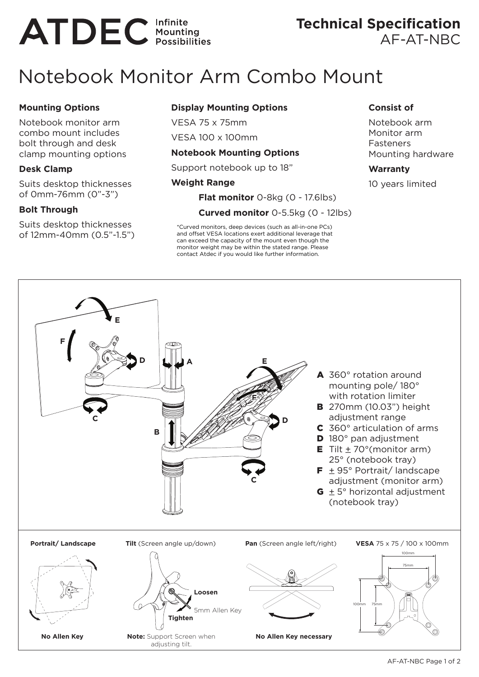# **ATDEC** Infinite

### **Technical Specification**  AF-AT-NBC

## Notebook Monitor Arm Combo Mount

#### **Mounting Options**

Notebook monitor arm combo mount includes bolt through and desk clamp mounting options

#### **Desk Clamp**

Suits desktop thicknesses of 0mm-76mm (0"-3")

#### **Bolt Through**

Suits desktop thicknesses of 12mm-40mm (0.5"-1.5")

#### **Display Mounting Options**

VESA 75 x 75mm VESA 100 x 100mm

#### **Notebook Mounting Options**

Support notebook up to 18"

#### **Weight Range**

**Flat monitor** 0-8kg (0 - 17.6lbs)

**Curved monitor** 0-5.5kg (0 - 12lbs)

\*Curved monitors, deep devices (such as all-in-one PCs) and offset VESA locations exert additional leverage that can exceed the capacity of the mount even though the monitor weight may be within the stated range. Please contact Atdec if you would like further information.

#### **Consist of**

Notebook arm Monitor arm Fasteners Mounting hardware

#### **Warranty**

10 years limited